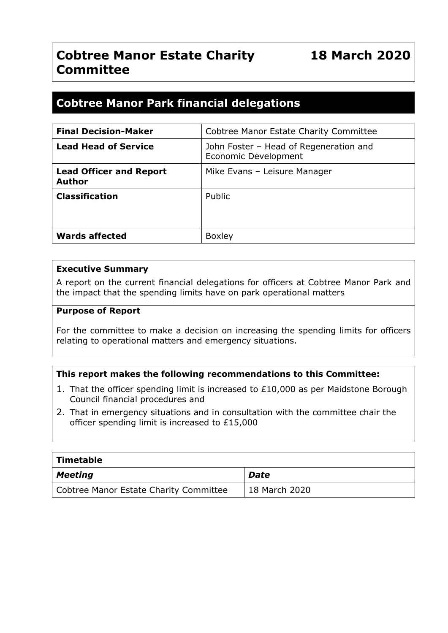## **Cobtree Manor Estate Charity Committee**

## **18 March 2020**

### **Cobtree Manor Park financial delegations**

| <b>Final Decision-Maker</b>                     | Cobtree Manor Estate Charity Committee                         |
|-------------------------------------------------|----------------------------------------------------------------|
| <b>Lead Head of Service</b>                     | John Foster - Head of Regeneration and<br>Economic Development |
| <b>Lead Officer and Report</b><br><b>Author</b> | Mike Evans - Leisure Manager                                   |
| <b>Classification</b>                           | Public                                                         |
| <b>Wards affected</b>                           | <b>Boxley</b>                                                  |

#### **Executive Summary**

A report on the current financial delegations for officers at Cobtree Manor Park and the impact that the spending limits have on park operational matters

#### **Purpose of Report**

For the committee to make a decision on increasing the spending limits for officers relating to operational matters and emergency situations.

#### **This report makes the following recommendations to this Committee:**

- 1. That the officer spending limit is increased to £10,000 as per Maidstone Borough Council financial procedures and
- 2. That in emergency situations and in consultation with the committee chair the officer spending limit is increased to £15,000

| Timetable                              |                            |
|----------------------------------------|----------------------------|
| Meeting                                | Date                       |
| Cobtree Manor Estate Charity Committee | <sup>1</sup> 18 March 2020 |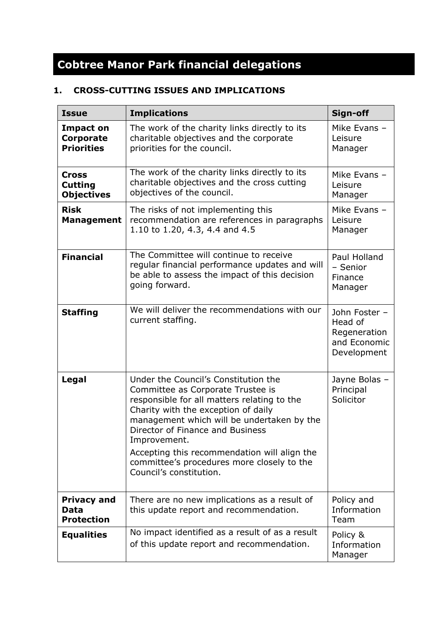# **Cobtree Manor Park financial delegations**

#### **1. CROSS-CUTTING ISSUES AND IMPLICATIONS**

| <b>Issue</b>                                        | <b>Implications</b>                                                                                                                                                                                                                                                                                                                                                                        | Sign-off                                                                |
|-----------------------------------------------------|--------------------------------------------------------------------------------------------------------------------------------------------------------------------------------------------------------------------------------------------------------------------------------------------------------------------------------------------------------------------------------------------|-------------------------------------------------------------------------|
| <b>Impact on</b><br>Corporate<br><b>Priorities</b>  | The work of the charity links directly to its<br>charitable objectives and the corporate<br>priorities for the council.                                                                                                                                                                                                                                                                    | Mike Evans -<br>Leisure<br>Manager                                      |
| <b>Cross</b><br><b>Cutting</b><br><b>Objectives</b> | The work of the charity links directly to its<br>charitable objectives and the cross cutting<br>objectives of the council.                                                                                                                                                                                                                                                                 | Mike Evans -<br>Leisure<br>Manager                                      |
| <b>Risk</b><br><b>Management</b>                    | The risks of not implementing this<br>recommendation are references in paragraphs<br>1.10 to 1.20, 4.3, 4.4 and 4.5                                                                                                                                                                                                                                                                        | Mike Evans -<br>Leisure<br>Manager                                      |
| <b>Financial</b>                                    | The Committee will continue to receive<br>regular financial performance updates and will<br>be able to assess the impact of this decision<br>going forward.                                                                                                                                                                                                                                | Paul Holland<br>- Senior<br>Finance<br>Manager                          |
| <b>Staffing</b>                                     | We will deliver the recommendations with our<br>current staffing.                                                                                                                                                                                                                                                                                                                          | John Foster -<br>Head of<br>Regeneration<br>and Economic<br>Development |
| Legal                                               | Under the Council's Constitution the<br>Committee as Corporate Trustee is<br>responsible for all matters relating to the<br>Charity with the exception of daily<br>management which will be undertaken by the<br>Director of Finance and Business<br>Improvement.<br>Accepting this recommendation will align the<br>committee's procedures more closely to the<br>Council's constitution. | Jayne Bolas -<br>Principal<br>Solicitor                                 |
| <b>Privacy and</b><br>Data<br><b>Protection</b>     | There are no new implications as a result of<br>this update report and recommendation.                                                                                                                                                                                                                                                                                                     | Policy and<br>Information<br>Team                                       |
| <b>Equalities</b>                                   | No impact identified as a result of as a result<br>of this update report and recommendation.                                                                                                                                                                                                                                                                                               | Policy &<br>Information<br>Manager                                      |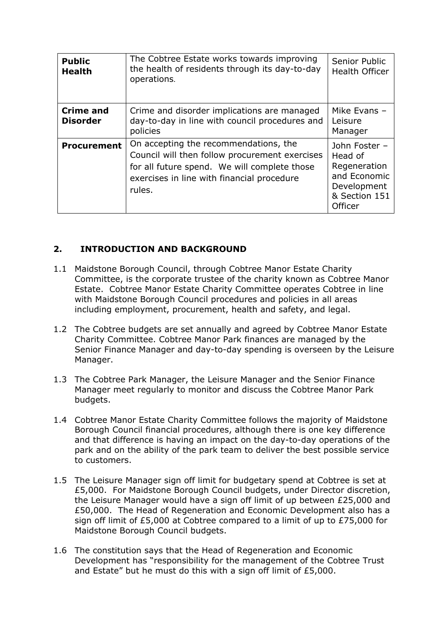| <b>Public</b><br><b>Health</b>      | The Cobtree Estate works towards improving<br>the health of residents through its day-to-day<br>operations.                                                                                     | Senior Public<br><b>Health Officer</b>                                                              |
|-------------------------------------|-------------------------------------------------------------------------------------------------------------------------------------------------------------------------------------------------|-----------------------------------------------------------------------------------------------------|
| <b>Crime and</b><br><b>Disorder</b> | Crime and disorder implications are managed<br>day-to-day in line with council procedures and<br>policies                                                                                       | Mike Evans -<br>Leisure<br>Manager                                                                  |
| <b>Procurement</b>                  | On accepting the recommendations, the<br>Council will then follow procurement exercises<br>for all future spend. We will complete those<br>exercises in line with financial procedure<br>rules. | John Foster -<br>Head of<br>Regeneration<br>and Economic<br>Development<br>& Section 151<br>Officer |

#### **2. INTRODUCTION AND BACKGROUND**

- 1.1 Maidstone Borough Council, through Cobtree Manor Estate Charity Committee, is the corporate trustee of the charity known as Cobtree Manor Estate. Cobtree Manor Estate Charity Committee operates Cobtree in line with Maidstone Borough Council procedures and policies in all areas including employment, procurement, health and safety, and legal.
- 1.2 The Cobtree budgets are set annually and agreed by Cobtree Manor Estate Charity Committee. Cobtree Manor Park finances are managed by the Senior Finance Manager and day-to-day spending is overseen by the Leisure Manager.
- 1.3 The Cobtree Park Manager, the Leisure Manager and the Senior Finance Manager meet regularly to monitor and discuss the Cobtree Manor Park budgets.
- 1.4 Cobtree Manor Estate Charity Committee follows the majority of Maidstone Borough Council financial procedures, although there is one key difference and that difference is having an impact on the day-to-day operations of the park and on the ability of the park team to deliver the best possible service to customers.
- 1.5 The Leisure Manager sign off limit for budgetary spend at Cobtree is set at £5,000. For Maidstone Borough Council budgets, under Director discretion, the Leisure Manager would have a sign off limit of up between £25,000 and £50,000. The Head of Regeneration and Economic Development also has a sign off limit of £5,000 at Cobtree compared to a limit of up to £75,000 for Maidstone Borough Council budgets.
- 1.6 The constitution says that the Head of Regeneration and Economic Development has "responsibility for the management of the Cobtree Trust and Estate" but he must do this with a sign off limit of £5,000.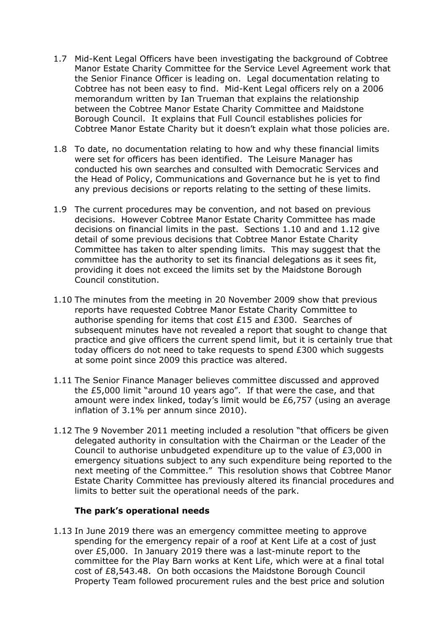- 1.7 Mid-Kent Legal Officers have been investigating the background of Cobtree Manor Estate Charity Committee for the Service Level Agreement work that the Senior Finance Officer is leading on. Legal documentation relating to Cobtree has not been easy to find. Mid-Kent Legal officers rely on a 2006 memorandum written by Ian Trueman that explains the relationship between the Cobtree Manor Estate Charity Committee and Maidstone Borough Council. It explains that Full Council establishes policies for Cobtree Manor Estate Charity but it doesn't explain what those policies are.
- 1.8 To date, no documentation relating to how and why these financial limits were set for officers has been identified. The Leisure Manager has conducted his own searches and consulted with Democratic Services and the Head of Policy, Communications and Governance but he is yet to find any previous decisions or reports relating to the setting of these limits.
- 1.9 The current procedures may be convention, and not based on previous decisions. However Cobtree Manor Estate Charity Committee has made decisions on financial limits in the past. Sections 1.10 and and 1.12 give detail of some previous decisions that Cobtree Manor Estate Charity Committee has taken to alter spending limits. This may suggest that the committee has the authority to set its financial delegations as it sees fit, providing it does not exceed the limits set by the Maidstone Borough Council constitution.
- 1.10 The minutes from the meeting in 20 November 2009 show that previous reports have requested Cobtree Manor Estate Charity Committee to authorise spending for items that cost £15 and £300. Searches of subsequent minutes have not revealed a report that sought to change that practice and give officers the current spend limit, but it is certainly true that today officers do not need to take requests to spend £300 which suggests at some point since 2009 this practice was altered.
- 1.11 The Senior Finance Manager believes committee discussed and approved the £5,000 limit "around 10 years ago". If that were the case, and that amount were index linked, today's limit would be £6,757 (using an average inflation of 3.1% per annum since 2010).
- 1.12 The 9 November 2011 meeting included a resolution "that officers be given delegated authority in consultation with the Chairman or the Leader of the Council to authorise unbudgeted expenditure up to the value of £3,000 in emergency situations subject to any such expenditure being reported to the next meeting of the Committee." This resolution shows that Cobtree Manor Estate Charity Committee has previously altered its financial procedures and limits to better suit the operational needs of the park.

#### **The park's operational needs**

1.13 In June 2019 there was an emergency committee meeting to approve spending for the emergency repair of a roof at Kent Life at a cost of just over £5,000. In January 2019 there was a last-minute report to the committee for the Play Barn works at Kent Life, which were at a final total cost of £8,543.48. On both occasions the Maidstone Borough Council Property Team followed procurement rules and the best price and solution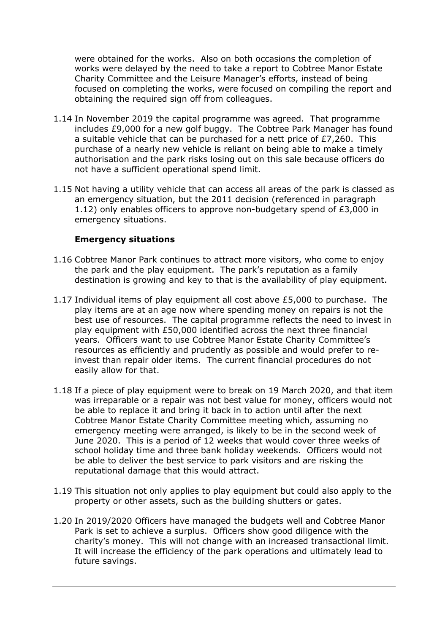were obtained for the works. Also on both occasions the completion of works were delayed by the need to take a report to Cobtree Manor Estate Charity Committee and the Leisure Manager's efforts, instead of being focused on completing the works, were focused on compiling the report and obtaining the required sign off from colleagues.

- 1.14 In November 2019 the capital programme was agreed. That programme includes £9,000 for a new golf buggy. The Cobtree Park Manager has found a suitable vehicle that can be purchased for a nett price of £7,260. This purchase of a nearly new vehicle is reliant on being able to make a timely authorisation and the park risks losing out on this sale because officers do not have a sufficient operational spend limit.
- 1.15 Not having a utility vehicle that can access all areas of the park is classed as an emergency situation, but the 2011 decision (referenced in paragraph 1.12) only enables officers to approve non-budgetary spend of £3,000 in emergency situations.

#### **Emergency situations**

- 1.16 Cobtree Manor Park continues to attract more visitors, who come to enjoy the park and the play equipment. The park's reputation as a family destination is growing and key to that is the availability of play equipment.
- 1.17 Individual items of play equipment all cost above £5,000 to purchase. The play items are at an age now where spending money on repairs is not the best use of resources. The capital programme reflects the need to invest in play equipment with £50,000 identified across the next three financial years. Officers want to use Cobtree Manor Estate Charity Committee's resources as efficiently and prudently as possible and would prefer to reinvest than repair older items. The current financial procedures do not easily allow for that.
- 1.18 If a piece of play equipment were to break on 19 March 2020, and that item was irreparable or a repair was not best value for money, officers would not be able to replace it and bring it back in to action until after the next Cobtree Manor Estate Charity Committee meeting which, assuming no emergency meeting were arranged, is likely to be in the second week of June 2020. This is a period of 12 weeks that would cover three weeks of school holiday time and three bank holiday weekends. Officers would not be able to deliver the best service to park visitors and are risking the reputational damage that this would attract.
- 1.19 This situation not only applies to play equipment but could also apply to the property or other assets, such as the building shutters or gates.
- 1.20 In 2019/2020 Officers have managed the budgets well and Cobtree Manor Park is set to achieve a surplus. Officers show good diligence with the charity's money. This will not change with an increased transactional limit. It will increase the efficiency of the park operations and ultimately lead to future savings.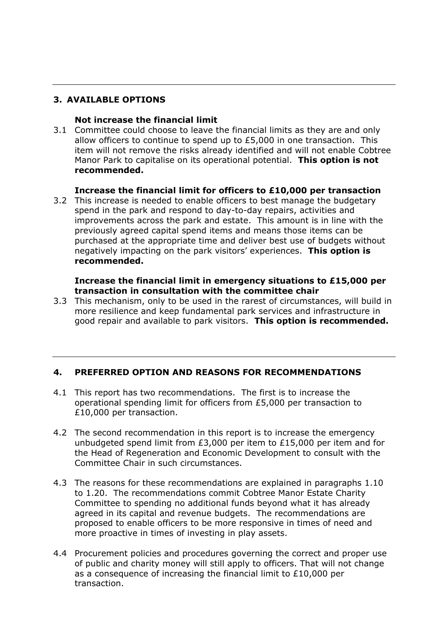#### **3. AVAILABLE OPTIONS**

#### **Not increase the financial limit**

3.1 Committee could choose to leave the financial limits as they are and only allow officers to continue to spend up to £5,000 in one transaction. This item will not remove the risks already identified and will not enable Cobtree Manor Park to capitalise on its operational potential. **This option is not recommended.**

#### **Increase the financial limit for officers to £10,000 per transaction**

3.2 This increase is needed to enable officers to best manage the budgetary spend in the park and respond to day-to-day repairs, activities and improvements across the park and estate. This amount is in line with the previously agreed capital spend items and means those items can be purchased at the appropriate time and deliver best use of budgets without negatively impacting on the park visitors' experiences. **This option is recommended.**

#### **Increase the financial limit in emergency situations to £15,000 per transaction in consultation with the committee chair**

3.3 This mechanism, only to be used in the rarest of circumstances, will build in more resilience and keep fundamental park services and infrastructure in good repair and available to park visitors. **This option is recommended.**

#### **4. PREFERRED OPTION AND REASONS FOR RECOMMENDATIONS**

- 4.1 This report has two recommendations. The first is to increase the operational spending limit for officers from £5,000 per transaction to £10,000 per transaction.
- 4.2 The second recommendation in this report is to increase the emergency unbudgeted spend limit from £3,000 per item to £15,000 per item and for the Head of Regeneration and Economic Development to consult with the Committee Chair in such circumstances.
- 4.3 The reasons for these recommendations are explained in paragraphs 1.10 to 1.20. The recommendations commit Cobtree Manor Estate Charity Committee to spending no additional funds beyond what it has already agreed in its capital and revenue budgets. The recommendations are proposed to enable officers to be more responsive in times of need and more proactive in times of investing in play assets.
- 4.4 Procurement policies and procedures governing the correct and proper use of public and charity money will still apply to officers. That will not change as a consequence of increasing the financial limit to £10,000 per transaction.